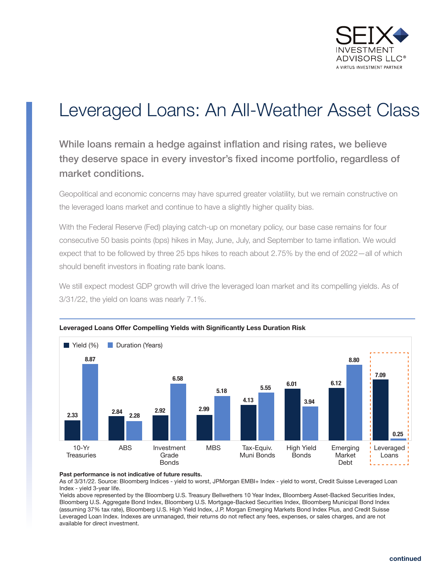

# Leveraged Loans: An All-Weather Asset Class

While loans remain a hedge against inflation and rising rates, we believe they deserve space in every investor's fixed income portfolio, regardless of market conditions.

Geopolitical and economic concerns may have spurred greater volatility, but we remain constructive on the leveraged loans market and continue to have a slightly higher quality bias.

With the Federal Reserve (Fed) playing catch-up on monetary policy, our base case remains for four consecutive 50 basis points (bps) hikes in May, June, July, and September to tame inflation. We would expect that to be followed by three 25 bps hikes to reach about 2.75% by the end of 2022—all of which should benefit investors in floating rate bank loans.

We still expect modest GDP growth will drive the leveraged loan market and its compelling yields. As of 3/31/22, the yield on loans was nearly 7.1%.





#### **Past performance is not indicative of future results.**

As of 3/31/22. Source: Bloomberg Indices - yield to worst, JPMorgan EMBI+ Index - yield to worst, Credit Suisse Leveraged Loan Index - yield 3-year life.

Yields above represented by the Bloomberg U.S. Treasury Bellwethers 10 Year Index, Bloomberg Asset-Backed Securities Index, Bloomberg U.S. Aggregate Bond Index, Bloomberg U.S. Mortgage-Backed Securities Index, Bloomberg Municipal Bond Index (assuming 37% tax rate), Bloomberg U.S. High Yield Index, J.P. Morgan Emerging Markets Bond Index Plus, and Credit Suisse Leveraged Loan Index. Indexes are unmanaged, their returns do not reflect any fees, expenses, or sales charges, and are not available for direct investment.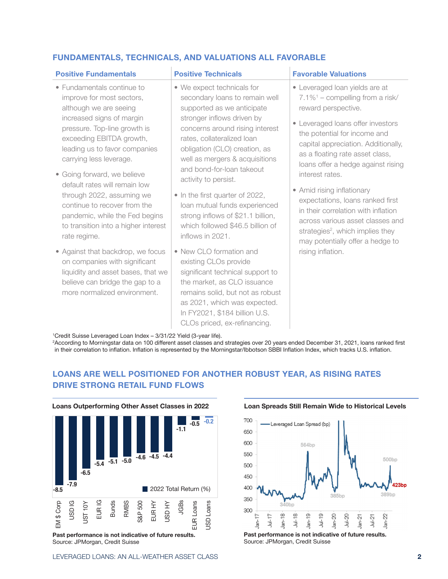# **FUNDAMENTALS, TECHNICALS, AND VALUATIONS ALL FAVORABLE**

| <b>Positive Fundamentals</b>                                                                                                                                                                                                                                                                                                                                                                                                                                                                                                                                                                                                                 | <b>Positive Technicals</b>                                                                                                                                                                                                                                                                                                                                                                                                                                                                                                                                                                                                                                                                                                                     | <b>Favorable Valuations</b>                                                                                                                                                                                                                                                                                                                                                                                                                                                                                                                                           |  |  |  |  |  |  |
|----------------------------------------------------------------------------------------------------------------------------------------------------------------------------------------------------------------------------------------------------------------------------------------------------------------------------------------------------------------------------------------------------------------------------------------------------------------------------------------------------------------------------------------------------------------------------------------------------------------------------------------------|------------------------------------------------------------------------------------------------------------------------------------------------------------------------------------------------------------------------------------------------------------------------------------------------------------------------------------------------------------------------------------------------------------------------------------------------------------------------------------------------------------------------------------------------------------------------------------------------------------------------------------------------------------------------------------------------------------------------------------------------|-----------------------------------------------------------------------------------------------------------------------------------------------------------------------------------------------------------------------------------------------------------------------------------------------------------------------------------------------------------------------------------------------------------------------------------------------------------------------------------------------------------------------------------------------------------------------|--|--|--|--|--|--|
| • Fundamentals continue to<br>improve for most sectors,<br>although we are seeing<br>increased signs of margin<br>pressure. Top-line growth is<br>exceeding EBITDA growth,<br>leading us to favor companies<br>carrying less leverage.<br>• Going forward, we believe<br>default rates will remain low<br>through 2022, assuming we<br>continue to recover from the<br>pandemic, while the Fed begins<br>to transition into a higher interest<br>rate regime.<br>• Against that backdrop, we focus<br>on companies with significant<br>liquidity and asset bases, that we<br>believe can bridge the gap to a<br>more normalized environment. | • We expect technicals for<br>secondary loans to remain well<br>supported as we anticipate<br>stronger inflows driven by<br>concerns around rising interest<br>rates, collateralized loan<br>obligation (CLO) creation, as<br>well as mergers & acquisitions<br>and bond-for-loan takeout<br>activity to persist.<br>• In the first quarter of 2022,<br>loan mutual funds experienced<br>strong inflows of \$21.1 billion,<br>which followed \$46.5 billion of<br>inflows in 2021.<br>• New CLO formation and<br>existing CLOs provide<br>significant technical support to<br>the market, as CLO issuance<br>remains solid, but not as robust<br>as 2021, which was expected.<br>In FY2021, \$184 billion U.S.<br>CLOs priced, ex-refinancing. | • Leveraged loan yields are at<br>$7.1\%$ <sup>1</sup> – compelling from a risk/<br>reward perspective.<br>• Leveraged loans offer investors<br>the potential for income and<br>capital appreciation. Additionally,<br>as a floating rate asset class,<br>loans offer a hedge against rising<br>interest rates.<br>• Amid rising inflationary<br>expectations, loans ranked first<br>in their correlation with inflation<br>across various asset classes and<br>strategies <sup>2</sup> , which implies they<br>may potentially offer a hedge to<br>rising inflation. |  |  |  |  |  |  |
| <sup>1</sup> Credit Suisse Leveraged Loan Index – 3/31/22 Yield (3-vear life)                                                                                                                                                                                                                                                                                                                                                                                                                                                                                                                                                                |                                                                                                                                                                                                                                                                                                                                                                                                                                                                                                                                                                                                                                                                                                                                                |                                                                                                                                                                                                                                                                                                                                                                                                                                                                                                                                                                       |  |  |  |  |  |  |

'Credit Suisse Leveraged Loan Index – 3/31/22 Yield (3-year life).<br><sup>2</sup>According to Morningstar data on 100 different asset classes and strategies over 20 years ended December 31, 2021, loans ranked first in their correlation to inflation. Inflation is represented by the Morningstar/Ibbotson SBBI Inflation Index, which tracks U.S. inflation.

# **LOANS ARE WELL POSITIONED FOR ANOTHER ROBUST YEAR, AS RISING RATES DRIVE STRONG RETAIL FUND FLOWS**



**Past performance is not indicative of future results.** Source: JPMorgan, Credit Suisse

## **Loan Spreads Still Remain Wide to Historical Levels**



**Past performance is not indicative of future results.** Source: JPMorgan, Credit Suisse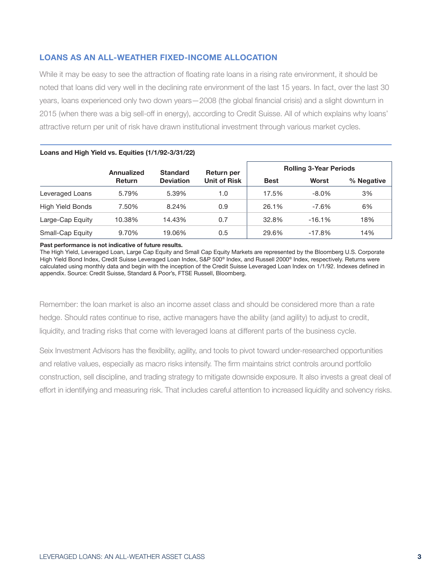# **LOANS AS AN ALL-WEATHER FIXED-INCOME ALLOCATION**

While it may be easy to see the attraction of floating rate loans in a rising rate environment, it should be noted that loans did very well in the declining rate environment of the last 15 years. In fact, over the last 30 years, loans experienced only two down years—2008 (the global financial crisis) and a slight downturn in 2015 (when there was a big sell-off in energy), according to Credit Suisse. All of which explains why loans' attractive return per unit of risk have drawn institutional investment through various market cycles.

|                         | Annualized<br><b>Return</b> | <b>Standard</b><br><b>Deviation</b> | Return per<br><b>Unit of Risk</b> | <b>Rolling 3-Year Periods</b> |           |            |
|-------------------------|-----------------------------|-------------------------------------|-----------------------------------|-------------------------------|-----------|------------|
|                         |                             |                                     |                                   | <b>Best</b>                   | Worst     | % Negative |
| Leveraged Loans         | 5.79%                       | 5.39%                               | 1.0                               | 17.5%                         | $-8.0\%$  | 3%         |
| <b>High Yield Bonds</b> | 7.50%                       | 8.24%                               | 0.9                               | 26.1%                         | $-7.6\%$  | 6%         |
| Large-Cap Equity        | 10.38%                      | 14.43%                              | 0.7                               | 32.8%                         | $-16.1%$  | 18%        |
| Small-Cap Equity        | 9.70%                       | 19.06%                              | 0.5                               | 29.6%                         | $-17.8\%$ | 14%        |

### **Loans and High Yield vs. Equities (1/1/92-3/31/22)**

**Past performance is not indicative of future results.** 

The High Yield, Leveraged Loan, Large Cap Equity and Small Cap Equity Markets are represented by the Bloomberg U.S. Corporate High Yield Bond Index, Credit Suisse Leveraged Loan Index, S&P 500® Index, and Russell 2000® Index, respectively. Returns were calculated using monthly data and begin with the inception of the Credit Suisse Leveraged Loan Index on 1/1/92. Indexes defined in appendix. Source: Credit Suisse, Standard & Poor's, FTSE Russell, Bloomberg.

Remember: the loan market is also an income asset class and should be considered more than a rate hedge. Should rates continue to rise, active managers have the ability (and agility) to adjust to credit, liquidity, and trading risks that come with leveraged loans at different parts of the business cycle.

Seix Investment Advisors has the flexibility, agility, and tools to pivot toward under-researched opportunities and relative values, especially as macro risks intensify. The firm maintains strict controls around portfolio construction, sell discipline, and trading strategy to mitigate downside exposure. It also invests a great deal of effort in identifying and measuring risk. That includes careful attention to increased liquidity and solvency risks.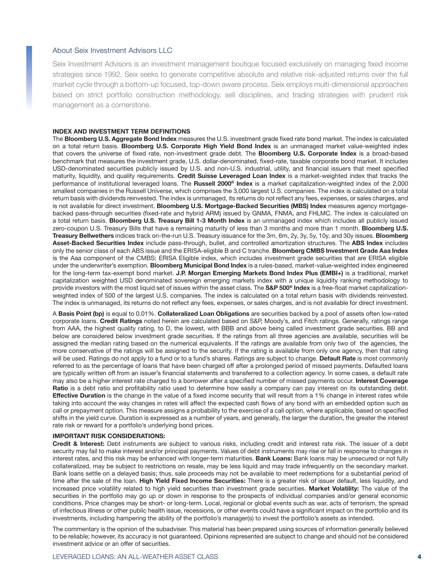#### About Seix Investment Advisors LLC

Seix Investment Advisors is an investment management boutique focused exclusively on managing fixed income strategies since 1992. Seix seeks to generate competitive absolute and relative risk-adjusted returns over the full market cycle through a bottom-up focused, top-down aware process. Seix employs multi-dimensional approaches based on strict portfolio construction methodology, sell disciplines, and trading strategies with prudent risk management as a cornerstone.

#### **INDEX AND INVESTMENT TERM DEFINITIONS**

The **Bloomberg U.S. Aggregate Bond Index** measures the U.S. investment grade fixed rate bond market. The index is calculated on a total return basis. **Bloomberg U.S. Corporate High Yield Bond Index** is an unmanaged market value-weighted index that covers the universe of fixed rate, non-investment grade debt. The **Bloomberg U.S. Corporate Index** is a broad-based benchmark that measures the investment grade, U.S. dollar-denominated, fixed-rate, taxable corporate bond market. It includes USD-denominated securities publicly issued by U.S. and non-U.S. industrial, utility, and financial issuers that meet specified maturity, liquidity, and quality requirements. **Credit Suisse Leveraged Loan Index** is a market-weighted index that tracks the performance of institutional leveraged loans. The **Russell 2000® Index** is a market capitalization-weighted index of the 2,000 smallest companies in the Russell Universe, which comprises the 3,000 largest U.S. companies. The index is calculated on a total return basis with dividends reinvested. The index is unmanaged, its returns do not reflect any fees, expenses, or sales charges, and is not available for direct investment. **Bloomberg U.S. Mortgage-Backed Securities (MBS) Index** measures agency mortgagebacked pass-through securities (fixed-rate and hybrid ARM) issued by GNMA, FNMA, and FHLMC. The index is calculated on a total return basis. **Bloomberg U.S. Treasury Bill 1-3 Month Index** is an unmanaged index which includes all publicly issued zero-coupon U.S. Treasury Bills that have a remaining maturity of less than 3 months and more than 1 month. **Bloomberg U.S. Treasury Bellwethers** indices track on-the-run U.S. Treasury issuance for the 3m, 6m, 2y, 3y, 5y, 10y, and 30y issues. **Bloomberg Asset-Backed Securities Index** include pass-through, bullet, and controlled amortization structures. The **ABS Index** includes only the senior class of each ABS issue and the ERISA-eligible B and C tranche. **Bloomberg CMBS Investment Grade Aaa Index** is the Aaa component of the CMBS: ERISA Eligible index, which includes investment grade securities that are ERISA eligible under the underwriter's exemption. **Bloomberg Municipal Bond Index** is a rules-based, market-value-weighted index engineered for the long-term tax-exempt bond market. **J.P. Morgan Emerging Markets Bond Index Plus (EMBI+)** is a traditional, market capitalization weighted USD denominated sovereign emerging markets index with a unique liquidity ranking methodology to provide investors with the most liquid set of issues within the asset class. The **S&P 500® Index** is a free-float market capitalizationweighted index of 500 of the largest U.S. companies. The index is calculated on a total return basis with dividends reinvested. The index is unmanaged, its returns do not reflect any fees, expenses, or sales charges, and is not available for direct investment.

A **Basis Point (bp)** is equal to 0.01%. **Collateralized Loan Obligations** are securities backed by a pool of assets often low-rated corporate loans. **Credit Ratings** noted herein are calculated based on S&P, Moody's, and Fitch ratings. Generally, ratings range from AAA, the highest quality rating, to D, the lowest, with BBB and above being called investment grade securities. BB and below are considered below investment grade securities. If the ratings from all three agencies are available, securities will be assigned the median rating based on the numerical equivalents. If the ratings are available from only two of the agencies, the more conservative of the ratings will be assigned to the security. If the rating is available from only one agency, then that rating will be used. Ratings do not apply to a fund or to a fund's shares. Ratings are subject to change. **Default Rate** is most commonly referred to as the percentage of loans that have been charged off after a prolonged period of missed payments. Defaulted loans are typically written off from an issuer's financial statements and transferred to a collection agency. In some cases, a default rate may also be a higher interest rate charged to a borrower after a specified number of missed payments occur. **Interest Coverage Ratio** is a debt ratio and profitability ratio used to determine how easily a company can pay interest on its outstanding debt. **Effective Duration** is the change in the value of a fixed income security that will result from a 1% change in interest rates while taking into account the way changes in rates will affect the expected cash flows of any bond with an embedded option such as call or prepayment option. This measure assigns a probability to the exercise of a call option, where applicable, based on specified shifts in the yield curve. Duration is expressed as a number of years, and generally, the larger the duration, the greater the interest rate risk or reward for a portfolio's underlying bond prices.

#### **IMPORTANT RISK CONSIDERATIONS:**

**Credit & Interest:** Debt instruments are subject to various risks, including credit and interest rate risk. The issuer of a debt security may fail to make interest and/or principal payments. Values of debt instruments may rise or fall in response to changes in interest rates, and this risk may be enhanced with longer-term maturities. **Bank Loans:** Bank loans may be unsecured or not fully collateralized, may be subject to restrictions on resale, may be less liquid and may trade infrequently on the secondary market. Bank loans settle on a delayed basis; thus, sale proceeds may not be available to meet redemptions for a substantial period of time after the sale of the loan. **High Yield Fixed Income Securities:** There is a greater risk of issuer default, less liquidity, and increased price volatility related to high yield securities than investment grade securities. **Market Volatility:** The value of the securities in the portfolio may go up or down in response to the prospects of individual companies and/or general economic conditions. Price changes may be short- or long-term. Local, regional or global events such as war, acts of terrorism, the spread of infectious illness or other public health issue, recessions, or other events could have a significant impact on the portfolio and its investments, including hampering the ability of the portfolio's manager(s) to invest the portfolio's assets as intended.

The commentary is the opinion of the subadviser. This material has been prepared using sources of information generally believed to be reliable; however, its accuracy is not guaranteed. Opinions represented are subject to change and should not be considered investment advice or an offer of securities.